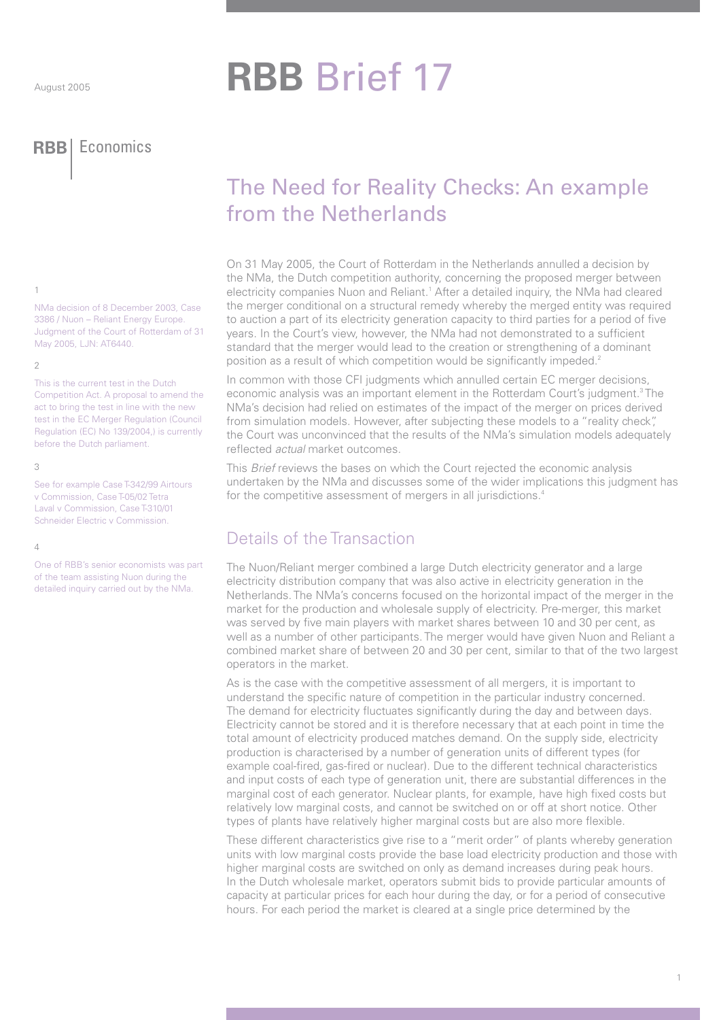# **RBB Brief 17**

**RBB** Economics

## The Need for Reality Checks: An example from the Netherlands

On 31 May 2005, the Court of Rotterdam in the Netherlands annulled a decision by the NMa, the Dutch competition authority, concerning the proposed merger between electricity companies Nuon and Reliant.<sup>1</sup> After a detailed inquiry, the NMa had cleared the merger conditional on a structural remedy whereby the merged entity was required to auction a part of its electricity generation capacity to third parties for a period of five years. In the Court's view, however, the NMa had not demonstrated to a sufficient standard that the merger would lead to the creation or strengthening of a dominant position as a result of which competition would be significantly impeded.<sup>2</sup>

In common with those CFI judgments which annulled certain EC merger decisions, economic analysis was an important element in the Rotterdam Court's judgment.<sup>3</sup> The NMa's decision had relied on estimates of the impact of the merger on prices derived from simulation models. However, after subjecting these models to a "reality check". the Court was unconvinced that the results of the NMa's simulation models adequately reflected *actual* market outcomes.

This Brief reviews the bases on which the Court rejected the economic analysis undertaken by the NMa and discusses some of the wider implications this judgment has for the competitive assessment of mergers in all jurisdictions.<sup>4</sup>

## Details of the Transaction

The Nuon/Reliant merger combined a large Dutch electricity generator and a large electricity distribution company that was also active in electricity generation in the Netherlands. The NMa's concerns focused on the horizontal impact of the merger in the market for the production and wholesale supply of electricity. Pre-merger, this market was served by five main players with market shares between 10 and 30 per cent, as well as a number of other participants. The merger would have given Nuon and Reliant a combined market share of between 20 and 30 per cent, similar to that of the two largest operators in the market.

As is the case with the competitive assessment of all mergers, it is important to understand the specific nature of competition in the particular industry concerned. The demand for electricity fluctuates significantly during the day and between days. Electricity cannot be stored and it is therefore necessary that at each point in time the total amount of electricity produced matches demand. On the supply side, electricity production is characterised by a number of generation units of different types (for example coal-fired, gas-fired or nuclear). Due to the different technical characteristics and input costs of each type of generation unit, there are substantial differences in the marginal cost of each generator. Nuclear plants, for example, have high fixed costs but relatively low marginal costs, and cannot be switched on or off at short notice. Other types of plants have relatively higher marginal costs but are also more flexible.

These different characteristics give rise to a "merit order" of plants whereby generation units with low marginal costs provide the base load electricity production and those with higher marginal costs are switched on only as demand increases during peak hours. In the Dutch wholesale market, operators submit bids to provide particular amounts of capacity at particular prices for each hour during the day, or for a period of consecutive hours. For each period the market is cleared at a single price determined by the

## $\overline{1}$

NMa decision of 8 December 2003, Case 3386 / Nuon - Reliant Energy Europe. Judgment of the Court of Rotterdam of 31 May 2005, LJN: AT6440.

## $\overline{Q}$

This is the current test in the Dutch Competition Act. A proposal to amend the act to bring the test in line with the new test in the EC Merger Regulation (Council Regulation (EC) No 139/2004,) is currently before the Dutch parliament.

#### $\mathcal{R}$

See for example Case T-342/99 Airtours v Commission, Case T-05/02 Tetra Laval v Commission, Case T-310/01 Schneider Electric v Commission.

#### $\overline{4}$

One of RBB's senior economists was part of the team assisting Nuon during the detailed inquiry carried out by the NMa.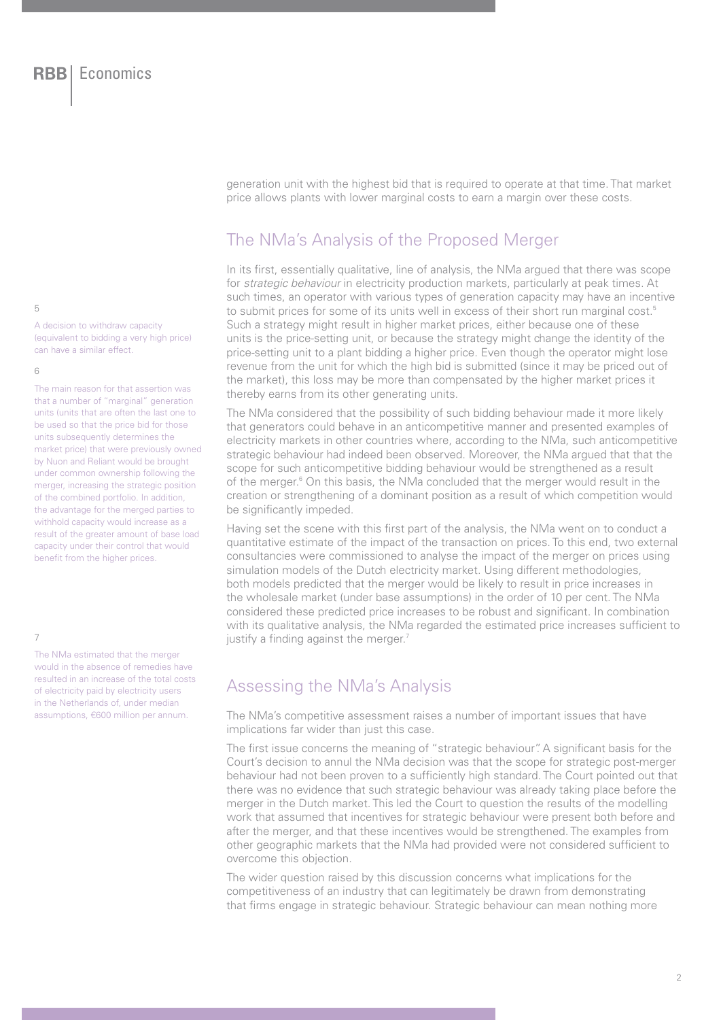generation unit with the highest bid that is required to operate at that time. That market price allows plants with lower marginal costs to earn a margin over these costs.

## The NMa's Analysis of the Proposed Merger

In its first, essentially qualitative, line of analysis, the NMa argued that there was scope for strategic behaviour in electricity production markets, particularly at peak times. At such times, an operator with various types of generation capacity may have an incentive to submit prices for some of its units well in excess of their short run marginal cost.<sup>5</sup> Such a strategy might result in higher market prices, either because one of these units is the price-setting unit, or because the strategy might change the identity of the price-setting unit to a plant bidding a higher price. Even though the operator might lose revenue from the unit for which the high bid is submitted (since it may be priced out of the market), this loss may be more than compensated by the higher market prices it thereby earns from its other generating units.

The NMa considered that the possibility of such bidding behaviour made it more likely that generators could behave in an anticompetitive manner and presented examples of electricity markets in other countries where, according to the NMa, such anticompetitive strategic behaviour had indeed been observed. Moreover, the NMa argued that that the scope for such anticompetitive bidding behaviour would be strengthened as a result of the merger.<sup>6</sup> On this basis, the NMa concluded that the merger would result in the creation or strengthening of a dominant position as a result of which competition would be significantly impeded.

Having set the scene with this first part of the analysis, the NMa went on to conduct a quantitative estimate of the impact of the transaction on prices. To this end, two external consultancies were commissioned to analyse the impact of the merger on prices using simulation models of the Dutch electricity market. Using different methodologies, both models predicted that the merger would be likely to result in price increases in the wholesale market (under base assumptions) in the order of 10 per cent. The NMa considered these predicted price increases to be robust and significant. In combination with its qualitative analysis, the NMa regarded the estimated price increases sufficient to justify a finding against the merger.<sup>7</sup>

## Assessing the NMa's Analysis

The NMa's competitive assessment raises a number of important issues that have implications far wider than just this case.

The first issue concerns the meaning of "strategic behaviour". A significant basis for the Court's decision to annul the NMa decision was that the scope for strategic post-merger behaviour had not been proven to a sufficiently high standard. The Court pointed out that there was no evidence that such strategic behaviour was already taking place before the merger in the Dutch market. This led the Court to question the results of the modelling work that assumed that incentives for strategic behaviour were present both before and after the merger, and that these incentives would be strengthened. The examples from other geographic markets that the NMa had provided were not considered sufficient to overcome this objection.

The wider question raised by this discussion concerns what implications for the competitiveness of an industry that can legitimately be drawn from demonstrating that firms engage in strategic behaviour. Strategic behaviour can mean nothing more

#### $\overline{5}$

A decision to withdraw capacity (equivalent to bidding a very high price) can have a similar effect.

### $\sqrt{2}$

The main reason for that assertion was that a number of "marginal" generation units (units that are often the last one to be used so that the price bid for those units subsequently determines the market price) that were previously owned by Nuon and Reliant would be brought under common ownership following the merger, increasing the strategic position of the combined portfolio. In addition. the advantage for the merged parties to withhold capacity would increase as a result of the greater amount of base load capacity under their control that would benefit from the higher prices.

#### $\overline{7}$

The NMa estimated that the merger would in the absence of remedies have resulted in an increase of the total costs of electricity paid by electricity users in the Netherlands of, under median assumptions, €600 million per annum.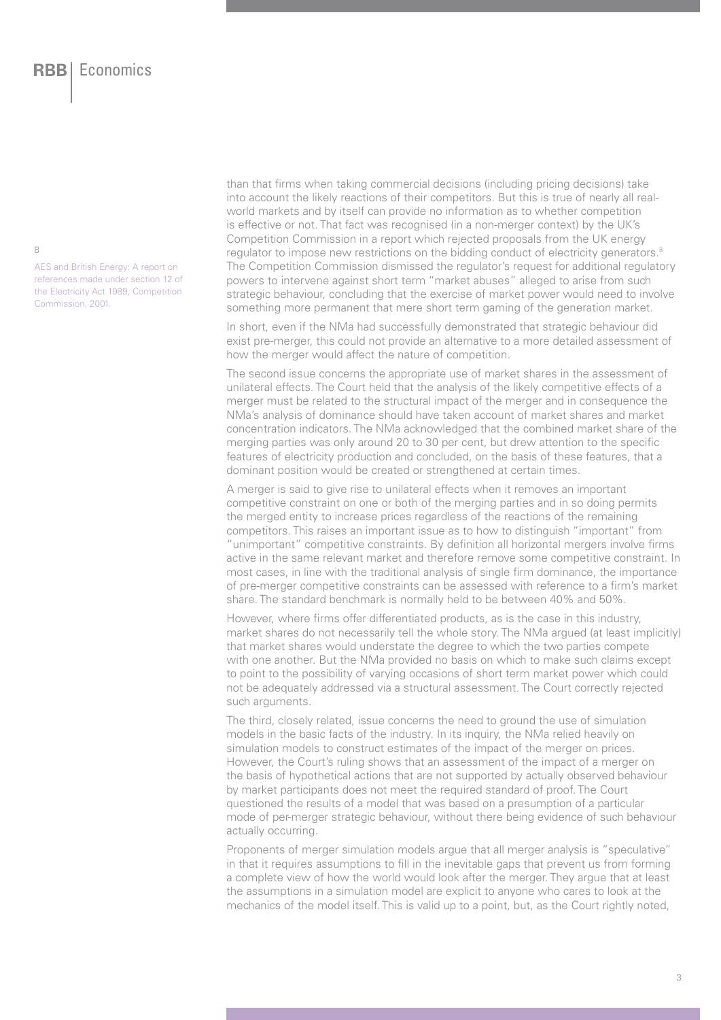$\alpha$ 

AES and British Energy: A report on references made under section 12 of the Electricity Act 1989, Competition Commission, 2001.

than that firms when taking commercial decisions (including pricing decisions) take into account the likely reactions of their competitors. But this is true of nearly all realworld markets and by itself can provide no information as to whether competition is effective or not. That fact was recognised (in a non-merger context) by the UK's Competition Commission in a report which rejected proposals from the UK energy regulator to impose new restrictions on the bidding conduct of electricity generators.<sup>8</sup> The Competition Commission dismissed the regulator's request for additional regulatory powers to intervene against short term "market abuses" alleged to arise from such strategic behaviour, concluding that the exercise of market power would need to involve something more permanent that mere short term gaming of the generation market.

In short, even if the NMa had successfully demonstrated that strategic behaviour did exist pre-merger, this could not provide an alternative to a more detailed assessment of how the merger would affect the nature of competition.

The second issue concerns the appropriate use of market shares in the assessment of unilateral effects. The Court held that the analysis of the likely competitive effects of a merger must be related to the structural impact of the merger and in consequence the NMa's analysis of dominance should have taken account of market shares and market concentration indicators. The NMa acknowledged that the combined market share of the merging parties was only around 20 to 30 per cent, but drew attention to the specific features of electricity production and concluded, on the basis of these features, that a dominant position would be created or strengthened at certain times.

A merger is said to give rise to unilateral effects when it removes an important competitive constraint on one or both of the merging parties and in so doing permits the merged entity to increase prices regardless of the reactions of the remaining competitors. This raises an important issue as to how to distinguish "important" from "unimportant" competitive constraints. By definition all horizontal mergers involve firms active in the same relevant market and therefore remove some competitive constraint. In most cases, in line with the traditional analysis of single firm dominance, the importance of pre-merger competitive constraints can be assessed with reference to a firm's market share. The standard benchmark is normally held to be between 40% and 50%.

However, where firms offer differentiated products, as is the case in this industry. market shares do not necessarily tell the whole story. The NMa arqued (at least implicitly) that market shares would understate the degree to which the two parties compete with one another. But the NMa provided no basis on which to make such claims except to point to the possibility of varying occasions of short term market power which could not be adequately addressed via a structural assessment. The Court correctly rejected such arguments.

The third, closely related, issue concerns the need to ground the use of simulation models in the basic facts of the industry. In its inquiry, the NMa relied heavily on simulation models to construct estimates of the impact of the merger on prices. However, the Court's ruling shows that an assessment of the impact of a merger on the basis of hypothetical actions that are not supported by actually observed behaviour by market participants does not meet the required standard of proof. The Court questioned the results of a model that was based on a presumption of a particular mode of per-merger strategic behaviour, without there being evidence of such behaviour actually occurring.

Proponents of merger simulation models arque that all merger analysis is "speculative" in that it requires assumptions to fill in the inevitable gaps that prevent us from forming a complete view of how the world would look after the merger. They arque that at least the assumptions in a simulation model are explicit to anyone who cares to look at the mechanics of the model itself. This is valid up to a point, but, as the Court rightly noted,